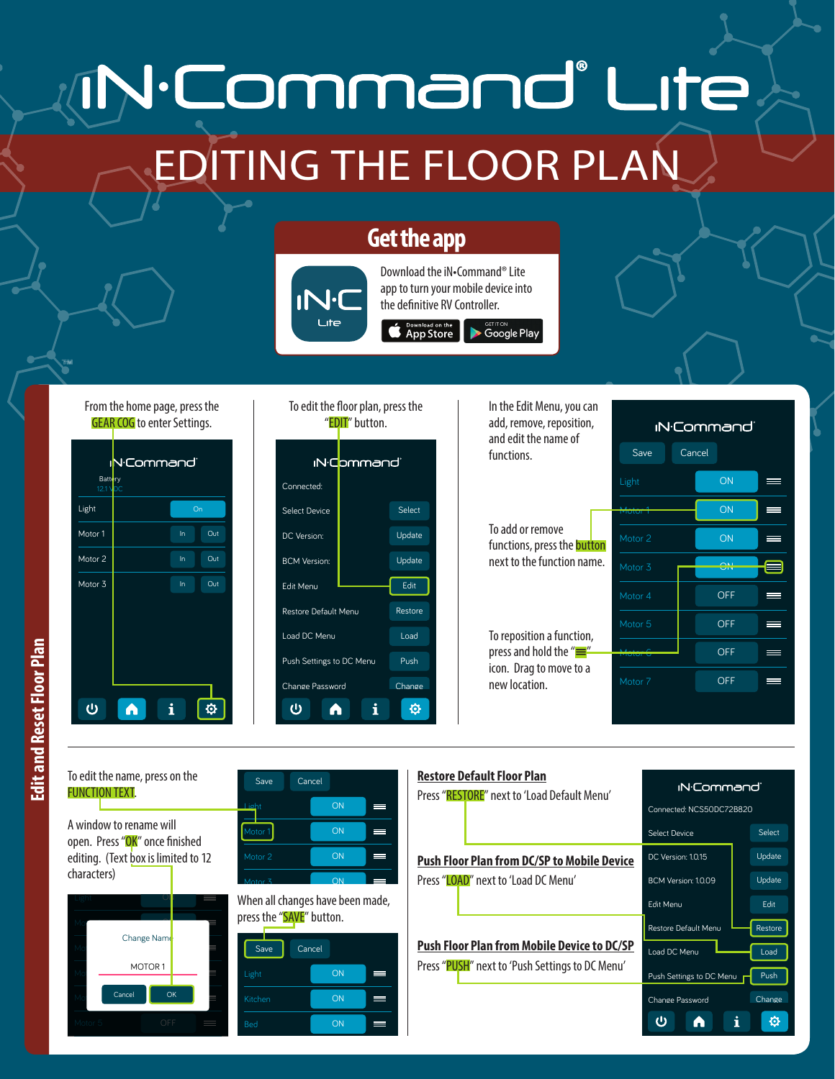## N.Command° Lite EDITING THE FLOOR PLAN

## **Get the app**



Download the iN•Command® Lite app to turn your mobile device into the definitive RV Controller. **App Store** Coogle Play

From the home page, press the GEAR COG to enter Settings.

™

| <b>V</b> ·Command`<br>Π<br><b>Battery</b><br>12.1 VDC |   |    |     |
|-------------------------------------------------------|---|----|-----|
| Light                                                 |   | On |     |
| Motor 1                                               |   | In | Out |
| Motor <sub>2</sub>                                    |   | In | Out |
| Motor 3                                               |   | In | Out |
|                                                       |   |    |     |
|                                                       |   |    |     |
|                                                       |   |    |     |
|                                                       |   |    |     |
|                                                       | i |    | Ċ   |

"EDIT" button. iN:Command Connected: Select Device Select Update DC Version: BCM Version: Update Edit Menu Edit Restore Default Menu Restore Load DC Menu Load Push Settings to DC Menu Push Change Change Password  $\omega$ 仓 A

To edit the floor plan, press the

In the Edit Menu, you can add, remove, reposition, and edit the name of functions.

To add or remove functions, press the **button** next to the function name.

To reposition a function, press and hold the "=" icon. Drag to move to a new location.



To edit the name, press on the FUNCTION TEXT.

A window to rename will open. Press "OK" once finished editing. (Text box is limited to 12 characters)









## **Restore Default Floor Plan**

Press "RESTORE" next to 'Load Default Menu'

**Push Floor Plan from DC/SP to Mobile Device** Press "LOAD" next to 'Load DC Menu'

Save Cancel **Push Floor Plan from Mobile Device to DC/SP** Press "PUSH" next to 'Push Settings to DC Menu'